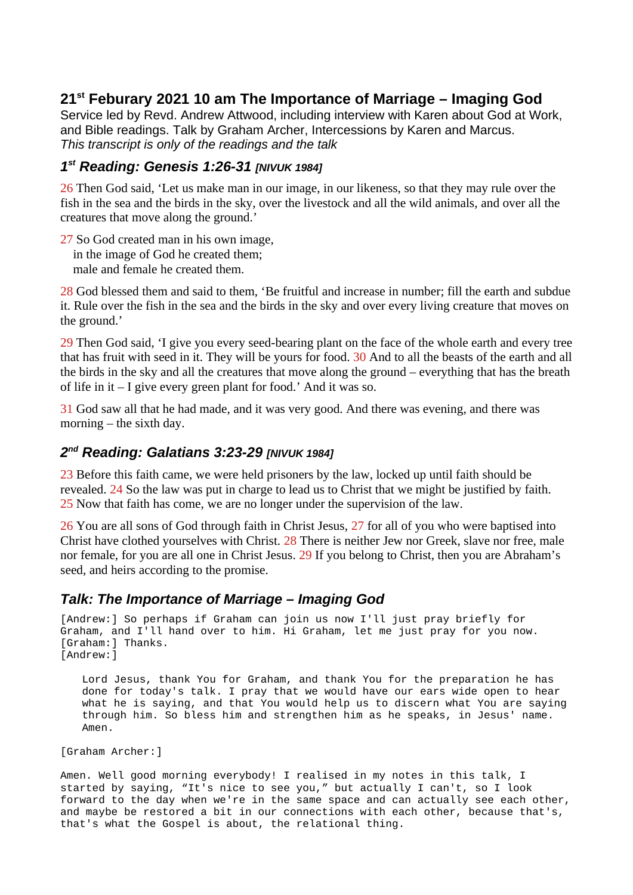### **21st Feburary 2021 10 am The Importance of Marriage – Imaging God**

Service led by Revd. Andrew Attwood, including interview with Karen about God at Work, and Bible readings. Talk by Graham Archer, Intercessions by Karen and Marcus. *This transcript is only of the readings and the talk*

#### *1 st Reading: Genesis 1:26-31 [NIVUK 1984]*

26 Then God said, 'Let us make man in our image, in our likeness, so that they may rule over the fish in the sea and the birds in the sky, over the livestock and all the wild animals, and over all the creatures that move along the ground.'

27 So God created man in his own image, in the image of God he created them; male and female he created them.

28 God blessed them and said to them, 'Be fruitful and increase in number; fill the earth and subdue it. Rule over the fish in the sea and the birds in the sky and over every living creature that moves on the ground.'

29 Then God said, 'I give you every seed-bearing plant on the face of the whole earth and every tree that has fruit with seed in it. They will be yours for food. 30 And to all the beasts of the earth and all the birds in the sky and all the creatures that move along the ground – everything that has the breath of life in it  $-$  I give every green plant for food.' And it was so.

31 God saw all that he had made, and it was very good. And there was evening, and there was morning – the sixth day.

#### *2 nd Reading: Galatians 3:23-29 [NIVUK 1984]*

23 Before this faith came, we were held prisoners by the law, locked up until faith should be revealed. 24 So the law was put in charge to lead us to Christ that we might be justified by faith. 25 Now that faith has come, we are no longer under the supervision of the law.

26 You are all sons of God through faith in Christ Jesus, 27 for all of you who were baptised into Christ have clothed yourselves with Christ. 28 There is neither Jew nor Greek, slave nor free, male nor female, for you are all one in Christ Jesus. 29 If you belong to Christ, then you are Abraham's seed, and heirs according to the promise.

#### *Talk: The Importance of Marriage – Imaging God*

[Andrew:] So perhaps if Graham can join us now I'll just pray briefly for Graham, and I'll hand over to him. Hi Graham, let me just pray for you now. [Graham:] Thanks. [Andrew:]

Lord Jesus, thank You for Graham, and thank You for the preparation he has done for today's talk. I pray that we would have our ears wide open to hear what he is saying, and that You would help us to discern what You are saying through him. So bless him and strengthen him as he speaks, in Jesus' name. Amen.

```
[Graham Archer:]
```
Amen. Well good morning everybody! I realised in my notes in this talk, I started by saying, "It's nice to see you," but actually I can't, so I look forward to the day when we're in the same space and can actually see each other, and maybe be restored a bit in our connections with each other, because that's, that's what the Gospel is about, the relational thing.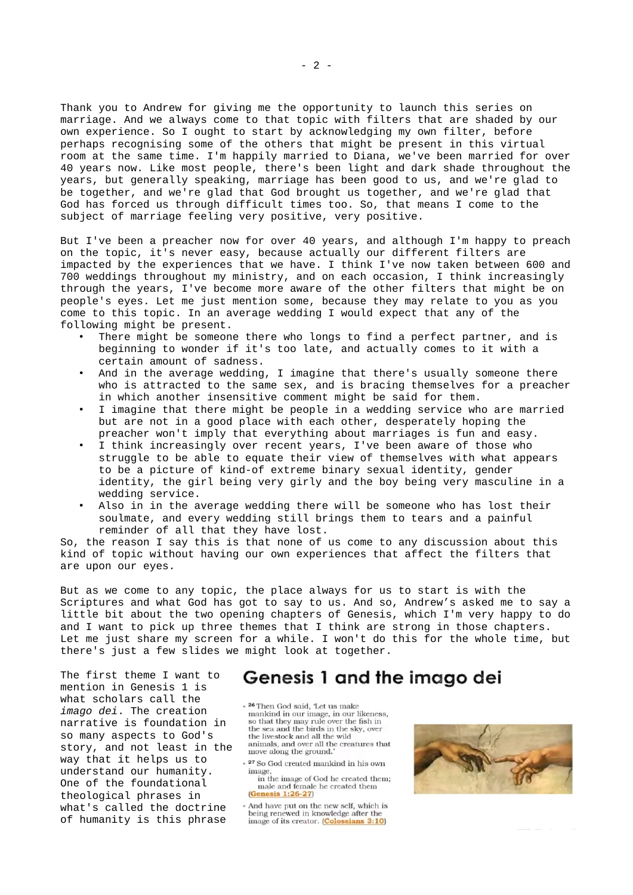Thank you to Andrew for giving me the opportunity to launch this series on marriage. And we always come to that topic with filters that are shaded by our own experience. So I ought to start by acknowledging my own filter, before perhaps recognising some of the others that might be present in this virtual room at the same time. I'm happily married to Diana, we've been married for over 40 years now. Like most people, there's been light and dark shade throughout the years, but generally speaking, marriage has been good to us, and we're glad to be together, and we're glad that God brought us together, and we're glad that God has forced us through difficult times too. So, that means I come to the subject of marriage feeling very positive, very positive.

But I've been a preacher now for over 40 years, and although I'm happy to preach on the topic, it's never easy, because actually our different filters are impacted by the experiences that we have. I think I've now taken between 600 and 700 weddings throughout my ministry, and on each occasion, I think increasingly through the years, I've become more aware of the other filters that might be on people's eyes. Let me just mention some, because they may relate to you as you come to this topic. In an average wedding I would expect that any of the following might be present.

- There might be someone there who longs to find a perfect partner, and is beginning to wonder if it's too late, and actually comes to it with a certain amount of sadness.
- And in the average wedding, I imagine that there's usually someone there who is attracted to the same sex, and is bracing themselves for a preacher in which another insensitive comment might be said for them.
- I imagine that there might be people in a wedding service who are married but are not in a good place with each other, desperately hoping the preacher won't imply that everything about marriages is fun and easy.
- I think increasingly over recent years, I've been aware of those who struggle to be able to equate their view of themselves with what appears to be a picture of kind-of extreme binary sexual identity, gender identity, the girl being very girly and the boy being very masculine in a wedding service.
- Also in in the average wedding there will be someone who has lost their soulmate, and every wedding still brings them to tears and a painful reminder of all that they have lost.

So, the reason I say this is that none of us come to any discussion about this kind of topic without having our own experiences that affect the filters that are upon our eyes.

But as we come to any topic, the place always for us to start is with the Scriptures and what God has got to say to us. And so, Andrew's asked me to say a little bit about the two opening chapters of Genesis, which I'm very happy to do and I want to pick up three themes that I think are strong in those chapters. Let me just share my screen for a while. I won't do this for the whole time, but there's just a few slides we might look at together.

The first theme I want to mention in Genesis 1 is what scholars call the *imago dei*. The creation narrative is foundation in so many aspects to God's story, and not least in the way that it helps us to understand our humanity. One of the foundational theological phrases in what's called the doctrine of humanity is this phrase

## Genesis 1 and the imago dei

 $\ast$  26 Then God said, 'Let us make mankind in our image, in our likeness, so that they may rule over the fish in the sea and the birds in the sky, over the livestock and all the wild animals, and over all the creatures that move along the ground.'

. <sup>27</sup> So God created mankind in his own image

in the image of God he created them; male and female he created them **Genesis 1:26-27** 

- And have put on the new self, which is being renewed in knowledge after the<br>image of its creator. (Colossians 3:10)

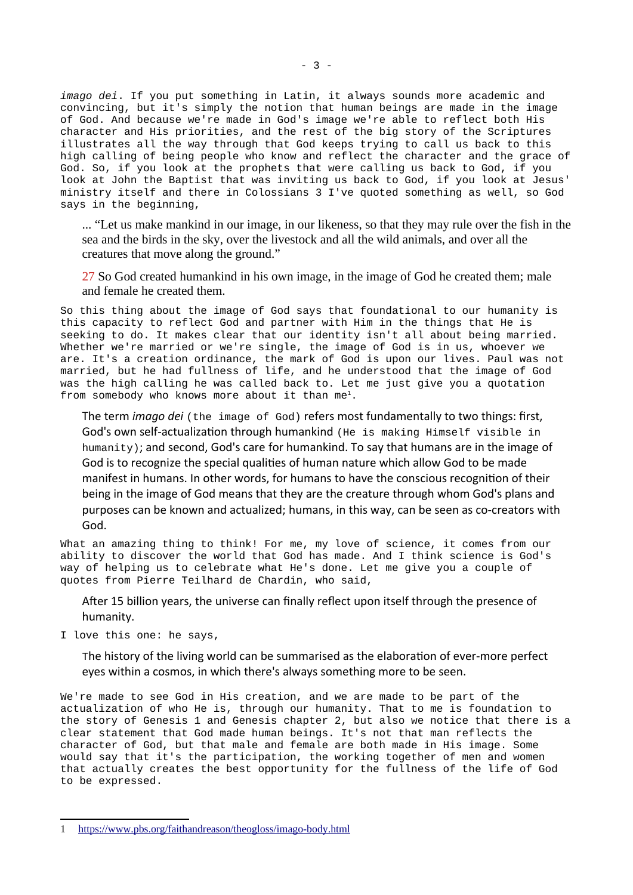*imago dei*. If you put something in Latin, it always sounds more academic and convincing, but it's simply the notion that human beings are made in the image of God. And because we're made in God's image we're able to reflect both His character and His priorities, and the rest of the big story of the Scriptures illustrates all the way through that God keeps trying to call us back to this high calling of being people who know and reflect the character and the grace of God. So, if you look at the prophets that were calling us back to God, if you look at John the Baptist that was inviting us back to God, if you look at Jesus' ministry itself and there in Colossians 3 I've quoted something as well, so God says in the beginning,

... "Let us make mankind in our image, in our likeness, so that they may rule over the fish in the sea and the birds in the sky, over the livestock and all the wild animals, and over all the creatures that move along the ground."

27 So God created humankind in his own image, in the image of God he created them; male and female he created them.

So this thing about the image of God says that foundational to our humanity is this capacity to reflect God and partner with Him in the things that He is seeking to do. It makes clear that our identity isn't all about being married. Whether we're married or we're single, the image of God is in us, whoever we are. It's a creation ordinance, the mark of God is upon our lives. Paul was not married, but he had fullness of life, and he understood that the image of God was the high calling he was called back to. Let me just give you a quotation from somebody who knows more about it than  $me<sup>1</sup>$  $me<sup>1</sup>$  $me<sup>1</sup>$ .

The term *imago dei* (the image of God) refers most fundamentally to two things: first, God's own self-actualization through humankind (He is making Himself visible in humanity); and second, God's care for humankind. To say that humans are in the image of God is to recognize the special qualities of human nature which allow God to be made manifest in humans. In other words, for humans to have the conscious recognition of their being in the image of God means that they are the creature through whom God's plans and purposes can be known and actualized; humans, in this way, can be seen as co-creators with God.

What an amazing thing to think! For me, my love of science, it comes from our ability to discover the world that God has made. And I think science is God's way of helping us to celebrate what He's done. Let me give you a couple of quotes from Pierre Teilhard de Chardin, who said,

After 15 billion years, the universe can finally reflect upon itself through the presence of humanity.

I love this one: he says,

The history of the living world can be summarised as the elaboration of ever-more perfect eyes within a cosmos, in which there's always something more to be seen.

We're made to see God in His creation, and we are made to be part of the actualization of who He is, through our humanity. That to me is foundation to the story of Genesis 1 and Genesis chapter 2, but also we notice that there is a clear statement that God made human beings. It's not that man reflects the character of God, but that male and female are both made in His image. Some would say that it's the participation, the working together of men and women that actually creates the best opportunity for the fullness of the life of God to be expressed.

<span id="page-2-0"></span><sup>1</sup><https://www.pbs.org/faithandreason/theogloss/imago-body.html>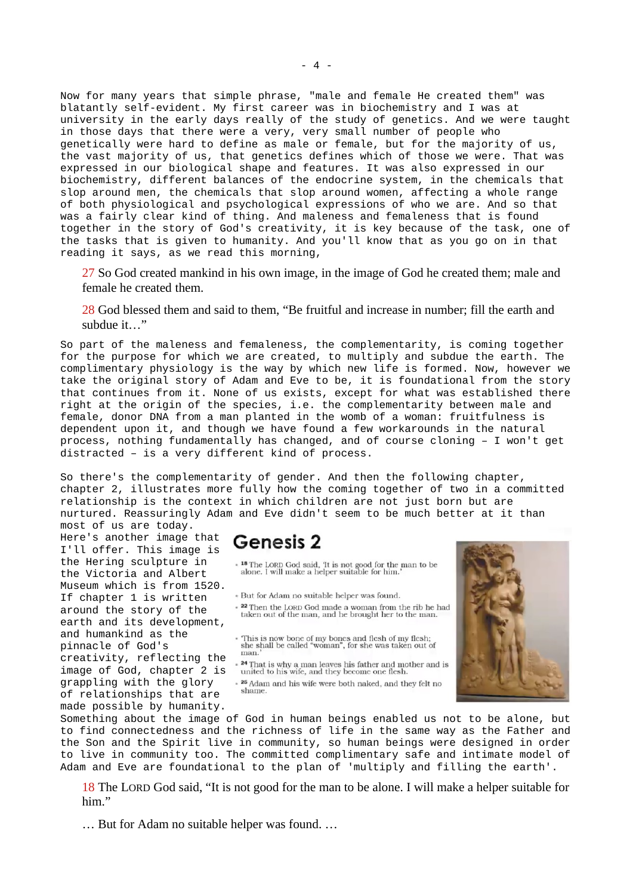Now for many years that simple phrase, "male and female He created them" was blatantly self-evident. My first career was in biochemistry and I was at university in the early days really of the study of genetics. And we were taught in those days that there were a very, very small number of people who genetically were hard to define as male or female, but for the majority of us, the vast majority of us, that genetics defines which of those we were. That was expressed in our biological shape and features. It was also expressed in our biochemistry, different balances of the endocrine system, in the chemicals that slop around men, the chemicals that slop around women, affecting a whole range of both physiological and psychological expressions of who we are. And so that was a fairly clear kind of thing. And maleness and femaleness that is found together in the story of God's creativity, it is key because of the task, one of the tasks that is given to humanity. And you'll know that as you go on in that reading it says, as we read this morning,

27 So God created mankind in his own image, in the image of God he created them; male and female he created them.

28 God blessed them and said to them, "Be fruitful and increase in number; fill the earth and subdue it…"

So part of the maleness and femaleness, the complementarity, is coming together for the purpose for which we are created, to multiply and subdue the earth. The complimentary physiology is the way by which new life is formed. Now, however we take the original story of Adam and Eve to be, it is foundational from the story that continues from it. None of us exists, except for what was established there right at the origin of the species, i.e. the complementarity between male and female, donor DNA from a man planted in the womb of a woman: fruitfulness is dependent upon it, and though we have found a few workarounds in the natural process, nothing fundamentally has changed, and of course cloning – I won't get distracted – is a very different kind of process.

So there's the complementarity of gender. And then the following chapter, chapter 2, illustrates more fully how the coming together of two in a committed relationship is the context in which children are not just born but are nurtured. Reassuringly Adam and Eve didn't seem to be much better at it than most of us are today.

# Genesis 2

- 
- But for Adam no suitable helper was found.
- $\ast$   $^{22}$  Then the LORD God made a woman from the rib he had taken out of the man, and he brought her to the man.
- $^\circ$  This is now bone of my bones and flesh of my flesh; she shall be called "woman", for she was taken out of man.'
- $\bullet$   $^{24}$  That is why a man leaves his father and mother and is united to his wife, and they become one flesh.
- $\scriptstyle\rm *}$   $^{25}$  Adam and his wife were both naked, and they felt no shame

Something about the image of God in human beings enabled us not to be alone, but to find connectedness and the richness of life in the same way as the Father and the Son and the Spirit live in community, so human beings were designed in order to live in community too. The committed complimentary safe and intimate model of Adam and Eve are foundational to the plan of 'multiply and filling the earth'.

18 The LORD God said, "It is not good for the man to be alone. I will make a helper suitable for him"

… But for Adam no suitable helper was found. …

Here's another image that I'll offer. This image is the Hering sculpture in the Victoria and Albert Museum which is from 1520. If chapter 1 is written around the story of the earth and its development,

and humankind as the pinnacle of God's

creativity, reflecting the image of God, chapter 2 is grappling with the glory of relationships that are made possible by humanity.

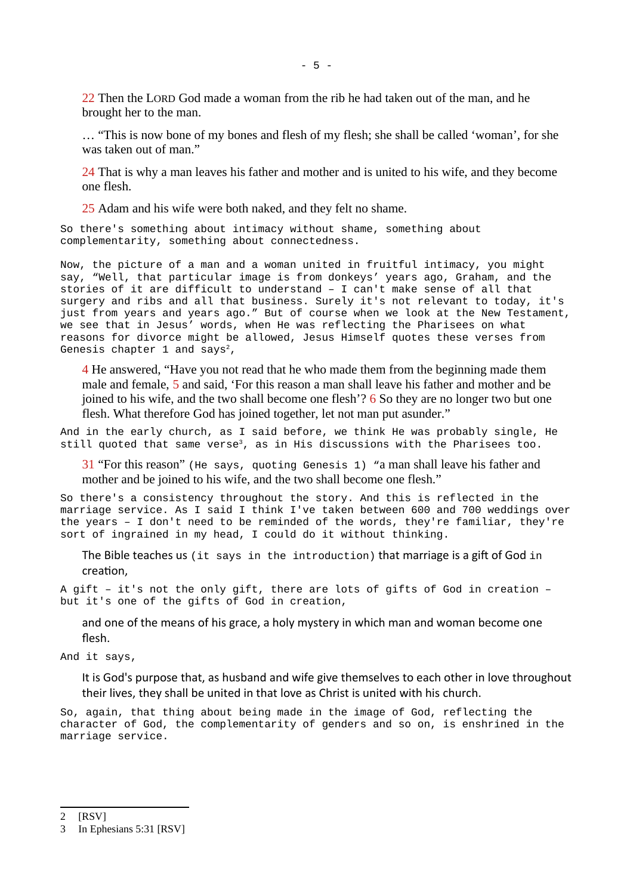22 Then the LORD God made a woman from the rib he had taken out of the man, and he brought her to the man.

… "This is now bone of my bones and flesh of my flesh; she shall be called 'woman', for she was taken out of man."

24 That is why a man leaves his father and mother and is united to his wife, and they become one flesh.

25 Adam and his wife were both naked, and they felt no shame.

So there's something about intimacy without shame, something about complementarity, something about connectedness.

Now, the picture of a man and a woman united in fruitful intimacy, you might say, "Well, that particular image is from donkeys' years ago, Graham, and the stories of it are difficult to understand – I can't make sense of all that surgery and ribs and all that business. Surely it's not relevant to today, it's just from years and years ago." But of course when we look at the New Testament, we see that in Jesus' words, when He was reflecting the Pharisees on what reasons for divorce might be allowed, Jesus Himself quotes these verses from Genesis chapter 1 and says<sup>[2](#page-4-0)</sup>,

4 He answered, "Have you not read that he who made them from the beginning made them male and female, 5 and said, 'For this reason a man shall leave his father and mother and be joined to his wife, and the two shall become one flesh'? 6 So they are no longer two but one flesh. What therefore God has joined together, let not man put asunder."

And in the early church, as I said before, we think He was probably single, He still quoted that same verse<sup>[3](#page-4-1)</sup>, as in His discussions with the Pharisees too.

31 "For this reason" (He says, quoting Genesis 1) "a man shall leave his father and mother and be joined to his wife, and the two shall become one flesh."

So there's a consistency throughout the story. And this is reflected in the marriage service. As I said I think I've taken between 600 and 700 weddings over the years – I don't need to be reminded of the words, they're familiar, they're sort of ingrained in my head, I could do it without thinking.

The Bible teaches us (it says in the introduction) that marriage is a gift of God in creation,

A gift – it's not the only gift, there are lots of gifts of God in creation – but it's one of the gifts of God in creation,

and one of the means of his grace, a holy mystery in which man and woman become one flesh.

And it says,

It is God's purpose that, as husband and wife give themselves to each other in love throughout their lives, they shall be united in that love as Christ is united with his church.

So, again, that thing about being made in the image of God, reflecting the character of God, the complementarity of genders and so on, is enshrined in the marriage service.

<span id="page-4-0"></span><sup>2</sup> [RSV]

<span id="page-4-1"></span><sup>3</sup> In Ephesians 5:31 [RSV]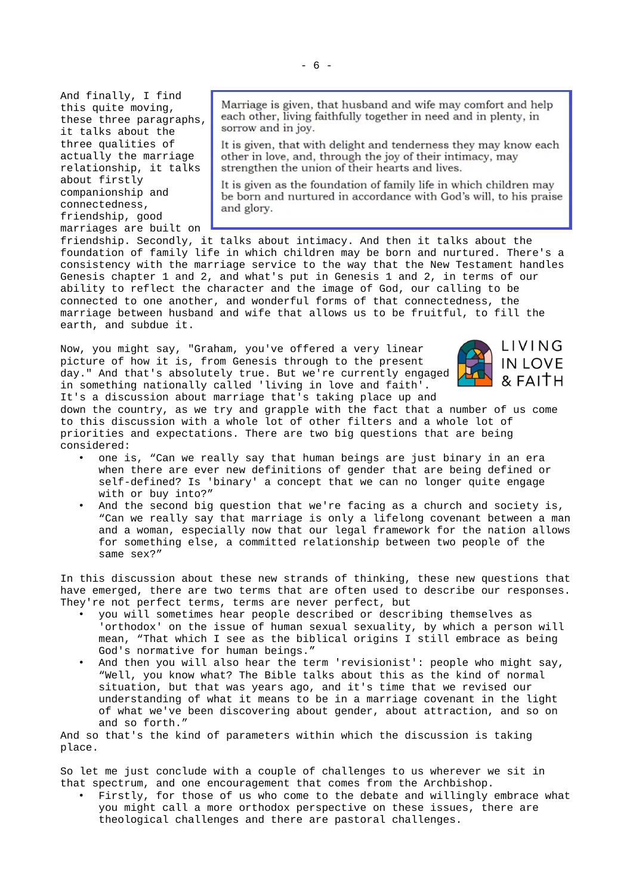And finally, I find this quite moving, these three paragraphs, it talks about the three qualities of actually the marriage relationship, it talks about firstly companionship and connectedness, friendship, good marriages are built on

Marriage is given, that husband and wife may comfort and help each other, living faithfully together in need and in plenty, in sorrow and in joy.

It is given, that with delight and tenderness they may know each other in love, and, through the joy of their intimacy, may strengthen the union of their hearts and lives.

It is given as the foundation of family life in which children may be born and nurtured in accordance with God's will, to his praise and glory.

friendship. Secondly, it talks about intimacy. And then it talks about the foundation of family life in which children may be born and nurtured. There's a consistency with the marriage service to the way that the New Testament handles Genesis chapter 1 and 2, and what's put in Genesis 1 and 2, in terms of our ability to reflect the character and the image of God, our calling to be connected to one another, and wonderful forms of that connectedness, the marriage between husband and wife that allows us to be fruitful, to fill the earth, and subdue it.

Now, you might say, "Graham, you've offered a very linear picture of how it is, from Genesis through to the present day." And that's absolutely true. But we're currently engaged in something nationally called 'living in love and faith'. It's a discussion about marriage that's taking place up and



down the country, as we try and grapple with the fact that a number of us come to this discussion with a whole lot of other filters and a whole lot of priorities and expectations. There are two big questions that are being considered:

- one is, "Can we really say that human beings are just binary in an era when there are ever new definitions of gender that are being defined or self-defined? Is 'binary' a concept that we can no longer quite engage with or buy into?"
- And the second big question that we're facing as a church and society is, "Can we really say that marriage is only a lifelong covenant between a man and a woman, especially now that our legal framework for the nation allows for something else, a committed relationship between two people of the same sex?"

In this discussion about these new strands of thinking, these new questions that have emerged, there are two terms that are often used to describe our responses. They're not perfect terms, terms are never perfect, but

- you will sometimes hear people described or describing themselves as 'orthodox' on the issue of human sexual sexuality, by which a person will mean, "That which I see as the biblical origins I still embrace as being God's normative for human beings."
- And then you will also hear the term 'revisionist': people who might say, "Well, you know what? The Bible talks about this as the kind of normal situation, but that was years ago, and it's time that we revised our understanding of what it means to be in a marriage covenant in the light of what we've been discovering about gender, about attraction, and so on and so forth."

And so that's the kind of parameters within which the discussion is taking place.

So let me just conclude with a couple of challenges to us wherever we sit in that spectrum, and one encouragement that comes from the Archbishop.

Firstly, for those of us who come to the debate and willingly embrace what you might call a more orthodox perspective on these issues, there are theological challenges and there are pastoral challenges.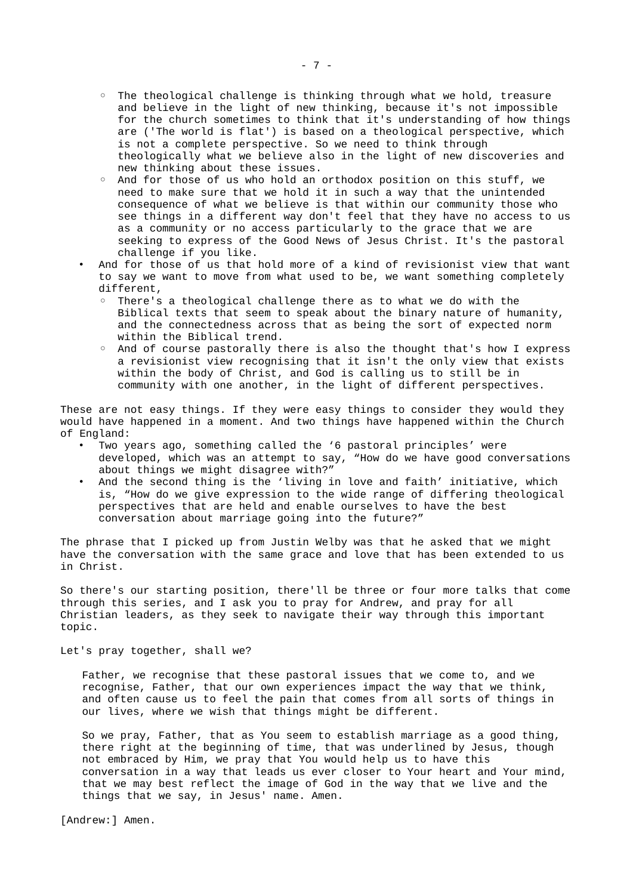- The theological challenge is thinking through what we hold, treasure and believe in the light of new thinking, because it's not impossible for the church sometimes to think that it's understanding of how things are ('The world is flat') is based on a theological perspective, which is not a complete perspective. So we need to think through theologically what we believe also in the light of new discoveries and new thinking about these issues.
- And for those of us who hold an orthodox position on this stuff, we need to make sure that we hold it in such a way that the unintended consequence of what we believe is that within our community those who see things in a different way don't feel that they have no access to us as a community or no access particularly to the grace that we are seeking to express of the Good News of Jesus Christ. It's the pastoral challenge if you like.
- And for those of us that hold more of a kind of revisionist view that want to say we want to move from what used to be, we want something completely different,
	- There's a theological challenge there as to what we do with the Biblical texts that seem to speak about the binary nature of humanity, and the connectedness across that as being the sort of expected norm within the Biblical trend.
	- And of course pastorally there is also the thought that's how I express a revisionist view recognising that it isn't the only view that exists within the body of Christ, and God is calling us to still be in community with one another, in the light of different perspectives.

These are not easy things. If they were easy things to consider they would they would have happened in a moment. And two things have happened within the Church of England:

- Two years ago, something called the '6 pastoral principles' were developed, which was an attempt to say, "How do we have good conversations about things we might disagree with?"
- And the second thing is the 'living in love and faith' initiative, which is, "How do we give expression to the wide range of differing theological perspectives that are held and enable ourselves to have the best conversation about marriage going into the future?"

The phrase that I picked up from Justin Welby was that he asked that we might have the conversation with the same grace and love that has been extended to us in Christ.

So there's our starting position, there'll be three or four more talks that come through this series, and I ask you to pray for Andrew, and pray for all Christian leaders, as they seek to navigate their way through this important topic.

Let's pray together, shall we?

Father, we recognise that these pastoral issues that we come to, and we recognise, Father, that our own experiences impact the way that we think, and often cause us to feel the pain that comes from all sorts of things in our lives, where we wish that things might be different.

So we pray, Father, that as You seem to establish marriage as a good thing, there right at the beginning of time, that was underlined by Jesus, though not embraced by Him, we pray that You would help us to have this conversation in a way that leads us ever closer to Your heart and Your mind, that we may best reflect the image of God in the way that we live and the things that we say, in Jesus' name. Amen.

[Andrew:] Amen.